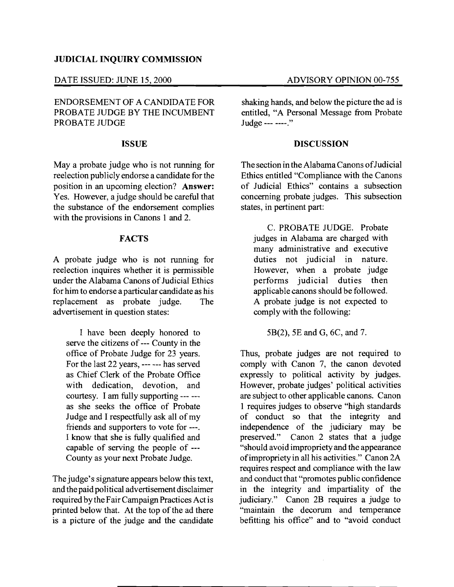## JUDICIAL INQUIRY COMMISSION

### DATE ISSUED: JUNE 15,2000 ADVISORY OPINION 00-755

ENDORSEMENT OF A CANDIDATE FOR PROBATE JUDGE BY THE INCUMBENT PROBATE JUDGE

## ISSUE

Maya probate judge who is not running for reelection publicly endorse a candidate for the position in an upcoming election? Answer: Yes. However, a judge should be careful that the substance of the endorsement complies with the provisions in Canons 1 and 2.

# **FACTS**

A probate judge who is not running for reelection inquires whether it is permissible under the Alabama Canons of Judicial Ethics for him to endorse aparticular candidate as his replacement as probate judge. The advertisement in question states:

I have been deeply honored to serve the citizens of --- County in the office of Probate Judge for 23 years. For the last 22 years, --- --- has served as Chief Clerk of the Probate Office with dedication, devotion, and courtesy. I am fully supporting --- - as she seeks the office of Probate Judge and I respectfully ask all of my friends and supporters to vote for ---. I know that she is fully qualified and capable of serving the people of -- County as your next Probate Judge.

The judge's signature appears below this text, and the paid political advertisement disclaimer required by the Fair Campaign Practices Act is printed below that. At the top of the ad there is a picture of the judge and the candidate

shaking hands, and below the picture the ad is entitled, "A Personal Message from Probate Judge --- ----."

### **DISCUSSION**

The section in the Alabama Canons ofJudicial Ethics entitled "Compliance with the Canons of Judicial Ethics" contains a subsection concerning probate judges. This subsection states, in pertinent part:

C. PROBATE JUDGE. Probate judges in Alabama are charged with many administrative and executive duties not judicial in nature. However, when a probate judge performs judicial duties then applicable canons should be followed. A probate judge is not expected to comply with the following:

5B(2), 5E and G, 6C, and 7.

Thus, probate judges are not required to comply with Canon 7, the canon devoted expressly to political activity by judges. However, probate judges' political activities are subject to other applicable canons. Canon 1 requires judges to observe "high standards of conduct so that the integrity and independence of the judiciary may be preserved." Canon 2 states that a judge Canon 2 states that a judge "should avoid impropriety and the appearance ofimpropriety in all his activities." Canon 2A requires respect and compliance with the law and conduct that "promotes public confidence in the integrity and impartiality of the judiciary." Canon 2B requires a judge to "maintain the decorum and temperance befitting his office" and to "avoid conduct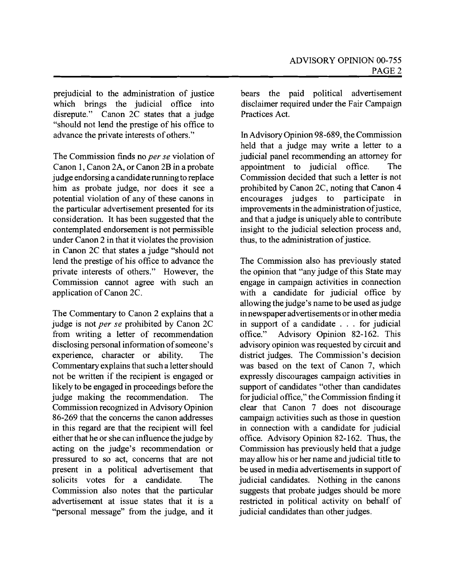prejudicial to the administration of justice which brings the judicial office into disrepute." Canon 2C states that a judge "should not lend the prestige of his office to advance the private interests of others."

The Commission finds no *per se* violation of Canon 1, Canon 2A, or Canon 2B in a probate judge endorsing a candidate running to replace him as probate judge, nor does it see a potential violation of any of these canons in the particular advertisement presented for its consideration. It has been suggested that the contemplated endorsement is not permissible under Canon 2 in that it violates the provision in Canon 2C that states a judge "should not lend the prestige of his office to advance the private interests of others." However, the Commission cannot agree with such an application of Canon 2C.

The Commentary to Canon 2 explains that a judge is not *per se* prohibited by Canon 2C from writing a letter of recommendation disclosing personal information of someone's experience, character or ability. The Commentary explains that such a letter should not be written if the recipient is engaged or likely to be engaged in proceedings before the judge making the recommendation. The Commission recognized in Advisory Opinion 86-269 that the concerns the canon addresses in this regard are that the recipient will feel either that he or she can influence the judge by acting on the judge's recommendation or pressured to so act, concerns that are not present in a political advertisement that solicits votes for a candidate. The Commission also notes that the particular advertisement at issue states that it is a "personal message" from the judge, and it bears the paid political advertisement disclaimer required under the Fair Campaign Practices Act.

In Advisory Opinion 98-689, the Commission held that a judge may write a letter to a judicial panel recommending an attorney for appointment to judicial office. The Commission decided that such a letter is not prohibited by Canon 2C, noting that Canon 4 encourages judges to participate in improvements in the administration of justice, and that a judge is uniquely able to contribute insight to the judicial selection process and, thus, to the administration of justice.

The Commission also has previously stated the opinion that "any judge of this State may engage in campaign activities in connection with a candidate for judicial office by allowing the judge's name to be used as judge in newspaper advertisements or in other media in support of a candidate . . . for judicial office." Advisory Opinion 82-162. This advisory opinion was requested by circuit and district judges. The Commission's decision was based on the text of Canon 7, which expressly discourages campaign activities in support of candidates "other than candidates for judicial office," the Commission finding it clear that Canon 7 does not discourage campaign activities such as those in question in connection with a candidate for judicial office. Advisory Opinion 82-162. Thus, the Commission has previously held that a judge may allow his or her name and judicial title to be used in media advertisements in support of judicial candidates. Nothing in the canons suggests that probate judges should be more restricted in political activity on behalf of judicial candidates than other judges.